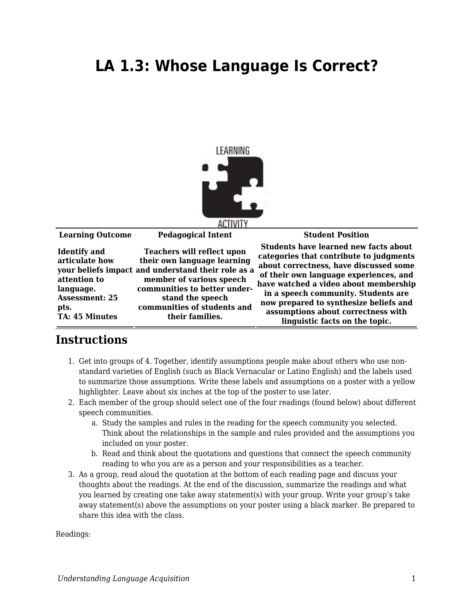## **LA 1.3: Whose Language Is Correct?**



| <b>Learning Outcome</b>                                                                                                      | <b>Pedagogical Intent</b>                                                                                                                                                                                                                                | <b>Student Position</b>                                                                                                                                                                                                                                                                                                                                                       |
|------------------------------------------------------------------------------------------------------------------------------|----------------------------------------------------------------------------------------------------------------------------------------------------------------------------------------------------------------------------------------------------------|-------------------------------------------------------------------------------------------------------------------------------------------------------------------------------------------------------------------------------------------------------------------------------------------------------------------------------------------------------------------------------|
| <b>Identify</b> and<br>articulate how<br>attention to<br>language.<br><b>Assessment: 25</b><br>pts.<br><b>TA: 45 Minutes</b> | <b>Teachers will reflect upon</b><br>their own language learning<br>your beliefs impact and understand their role as a<br>member of various speech<br>communities to better under-<br>stand the speech<br>communities of students and<br>their families. | <b>Students have learned new facts about</b><br>categories that contribute to judgments<br>about correctness, have discussed some<br>of their own language experiences, and<br>have watched a video about membership<br>in a speech community. Students are<br>now prepared to synthesize beliefs and<br>assumptions about correctness with<br>linguistic facts on the topic. |

## **Instructions**

- 1. Get into groups of 4. Together, identify assumptions people make about others who use nonstandard varieties of English (such as Black Vernacular or Latino English) and the labels used to summarize those assumptions. Write these labels and assumptions on a poster with a yellow highlighter. Leave about six inches at the top of the poster to use later.
- 2. Each member of the group should select one of the four readings (found below) about different speech communities.
	- a. Study the samples and rules in the reading for the speech community you selected. Think about the relationships in the sample and rules provided and the assumptions you included on your poster.
	- b. Read and think about the quotations and questions that connect the speech community reading to who you are as a person and your responsibilities as a teacher.
- 3. As a group, read aloud the quotation at the bottom of each reading page and discuss your thoughts about the readings. At the end of the discussion, summarize the readings and what you learned by creating one take away statement(s) with your group. Write your group's take away statement(s) above the assumptions on your poster using a black marker. Be prepared to share this idea with the class.

Readings: